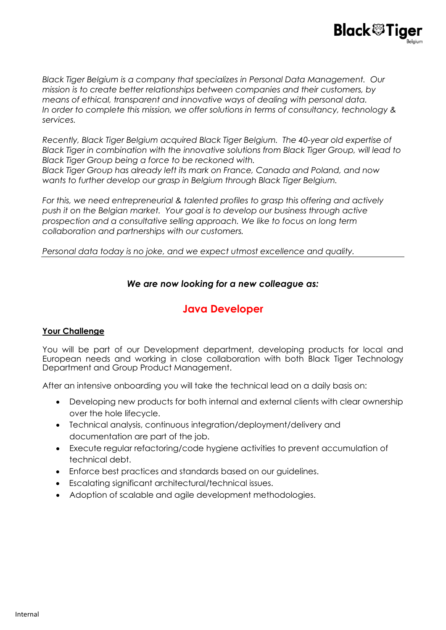

*Recently, Black Tiger Belgium acquired Black Tiger Belgium. The 40-year old expertise of Black Tiger in combination with the innovative solutions from Black Tiger Group, will lead to Black Tiger Group being a force to be reckoned with.* 

*Black Tiger Group has already left its mark on France, Canada and Poland, and now wants to further develop our grasp in Belgium through Black Tiger Belgium.*

*For this, we need entrepreneurial & talented profiles to grasp this offering and actively push it on the Belgian market. Your goal is to develop our business through active prospection and a consultative selling approach. We like to focus on long term collaboration and partnerships with our customers.* 

*Personal data today is no joke, and we expect utmost excellence and quality.*

## *We are now looking for a new colleague as:*

# **Java Developer**

#### **Your Challenge**

You will be part of our Development department, developing products for local and European needs and working in close collaboration with both Black Tiger Technology Department and Group Product Management.

After an intensive onboarding you will take the technical lead on a daily basis on:

- Developing new products for both internal and external clients with clear ownership over the hole lifecycle.
- Technical analysis, continuous integration/deployment/delivery and documentation are part of the job.
- Execute regular refactoring/code hygiene activities to prevent accumulation of technical debt.
- Enforce best practices and standards based on our guidelines.
- Escalating significant architectural/technical issues.
- Adoption of scalable and agile development methodologies.